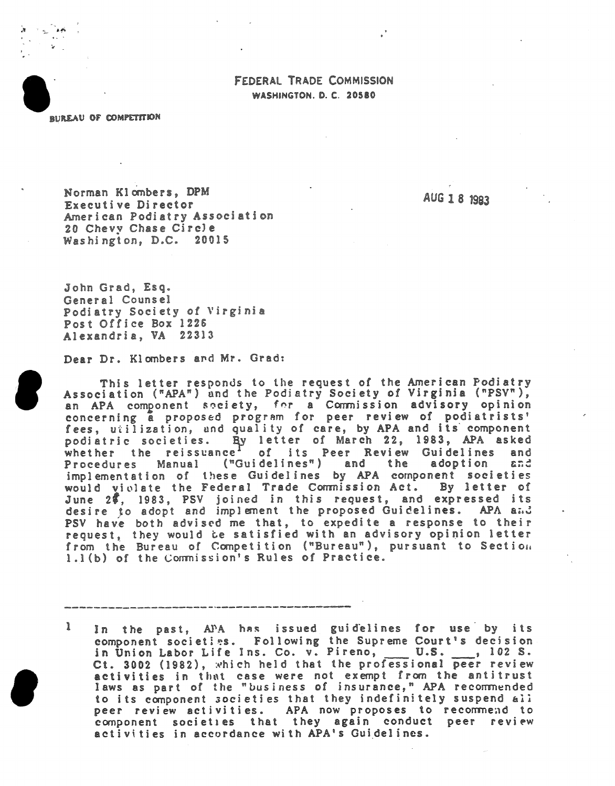## FEDERAL TRADE COMMISSION WASHINGTON. D. C. 20580

*RUREAU OF COMPETITION* 

Norman Klombers, DPM Executive Director American Podiatry Association 20 Chevy Chase Circle Washington, D.C. 20015

AUG 18 1983

John Grad, Esq. General Counsel Podiatry Society of Virginia Post Office Box 1226 Alexandria, VA 22313

Dear Dr. Klombers and Mr. Grad:

This letter responds to the request of the American Podiatry Association ("APA") and the Podiatry Society of Virginia ("PSV"),<br>an APA component society, for a Commission advisory opinion concerning a proposed program for peer review of podiatrists' fees, utilization, and quality of care, by APA and its component podiatric societies. By letter of March 22, 1983, APA asked whether the reissuance<sup>1</sup> of its Peer Review Guidelines and Procedures Manual ("Guidelines") and the adoption and implementation of these Guidelines by APA component societies would violate the Federal Trade Commission Act. By letter of June 28, 1983, PSV joined in this request, and expressed its desire to adopt and implement the proposed Guidelines. APA and PSV have both advised me that, to expedite a response to their request, they would be satisfied with an advisory opinion letter<br>from the Bureau of Competition ("Bureau"), pursuant to Section 1.1(b) of the Commission's Rules of Practice.

In the past, APA has issued guidelines for use by its<br>component societies. Following the Supreme Court's decision ì in Union Labor Life Ins. Co. v. Pireno, U.S. ..., 102 S. Ct. 3002 (1982), which held that the professional peer review activities in that case were not exempt from the antitrust<br>laws as part of the "business of insurance," APA recommended to its component societies that they indefinitely suspend all peer review activities. APA now proposes to recommend to component societies that they again conduct peer review activities in accordance with APA's Guidelines.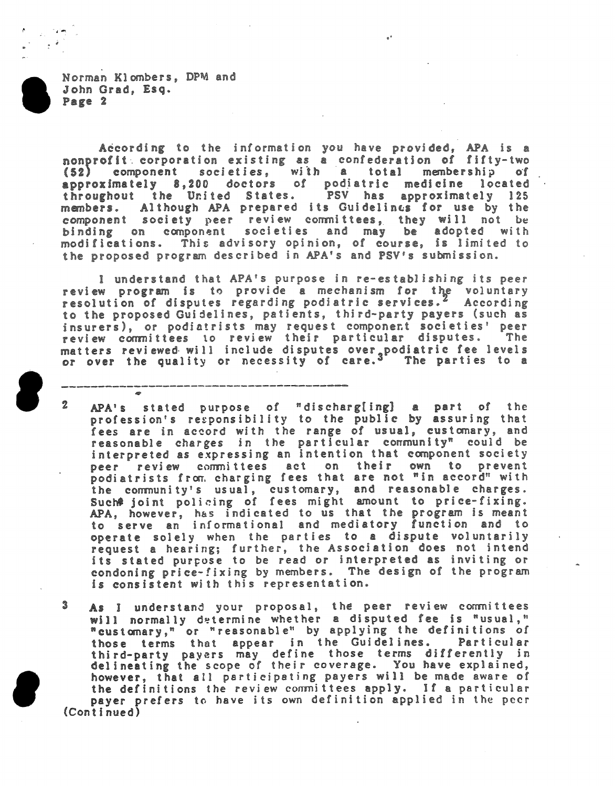According to the information you have provided, APA is a nonprofit corporation existing as a confederation of fifty-two (52) component societies, with a total membership of<br>approximately 8,200 doctors of podiatric medicine located throughout the United States. PSV has approximately 125 Although APA prepared its Guidelines for use by the members. component society peer review committees, they will not be<br>binding on component societies and may be adopted with modifications. This advisory opinion, of course, is limited to the proposed program described in APA's and PSV's submission.

I understand that APA's purpose in re-establishing its peer review program is to provide a mechanism for the voluntary resolution of disputes regarding podiatric services.<sup>2</sup> According to the proposed Guidelines, patients, third-party payers (such as insurers), or podiatrists may request component societies' peer review committees to review their particular disputes. The matters reviewed will include disputes over podiatric fee levels<br>or over the quality or necessity of care.<sup>3</sup> The parties to a

- $\mathbf{Z}$ APA's stated purpose of "discharg[ing] a part of the profession's responsibility to the public by assuring that fees are in accord with the range of usual, customary, and reasonable charges in the particular community" could be interpreted as expressing an intention that component society peer review committees act on their own to prevent<br>podiatrists from charging fees that are not "in accord" with the community's usual, customary, and reasonable charges.<br>Such# joint policing of fees might amount to price-fixing. APA, however, has indicated to us that the program is meant<br>to serve an informational and mediatory function and to operate solely when the parties to a dispute voluntarily request a hearing; further, the Association does not intend its stated purpose to be read or interpreted as inviting or condoning price-fixing by members. The design of the program is consistent with this representation.
- As I understand your proposal, the peer review committees<br>will normally determine whether a disputed fee is "usual,"<br>"customary," or "reasonable" by applying the definitions of 3 those terms that appear in the Guidelines. Particular third-party payers may define those terms differently in<br>delineating the scope of their coverage. You have explained, however, that all participating payers will be made aware of the definitions the review committees apply. If a particular payer prefers to have its own definition applied in the peer (Continued)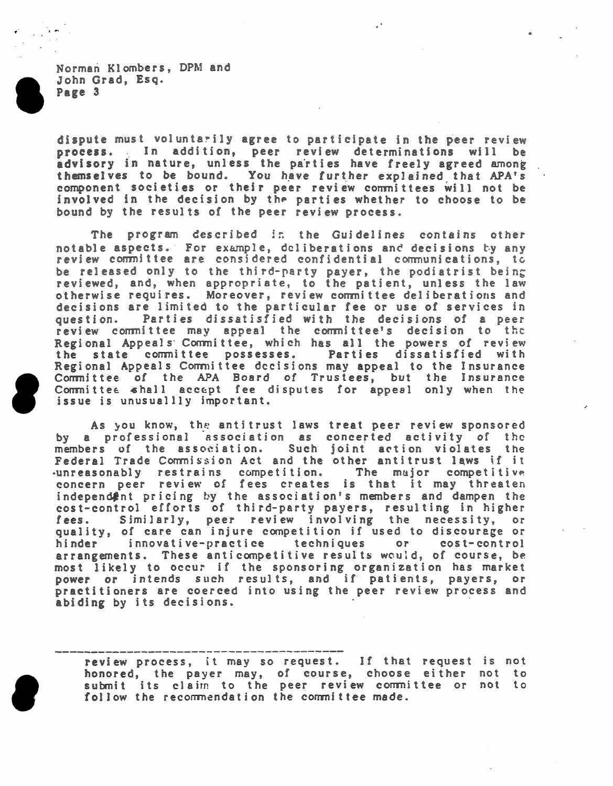dispute must voluntarily agree to participate in the peer review process. In addition, peer review determinations will be<br>advisory in nature, unless the parties have freely agreed among themselves to be bound. You have further explained that APA's component societies or their peer review committees will not be involved in the decision by the parties whether to choose to be bound by the results of the peer review process.

The program described in the Guidelines contains other notable aspects. For example, deliberations and decisions by any review committee are considered confidential communications, to be released only to the third-party payer, the podiatrist being<br>reviewed, and, when appropriate, to the patient, unless the law otherwise requires. Moreover, review committee deliberations and decisions are limited to the particular fee or use of services in question. Parties dissatisfied with the decisions of a peer review committee may appeal the committee's decision to the Regional Appeals Committee, which has all the powers of review the state committee possesses. Parties dissatisfied with Regional Appeals Committee decisions may appeal to the Insurance Committee of the APA Board of Trustees, but the Insurance Committee shall accept fee disputes for appeal only when the issue is unusuallly important.

As you know, the antitrust laws treat peer review sponsored by a professional association as concerted activity of the members of the association. Such joint action violates the Federal Trade Commission Act and the other antitrust laws if it unreasonably restrains competition. The major competitive concern peer review of fees creates is that it may threaten independ finit pricing by the association's members and dampen the cost-control efforts of third-party payers, resulting in higher Similarly, peer review involving the necessity, lees.  $or$ quality, of care can injure competition if used to discourage or hinder innovative-practice techniques or cost-control arrangements. These anticompetitive results would, of course, be most likely to occur if the sponsoring organization has market power or intends such results, and if patients, payers, or practitioners are coerced into using the peer review process and abiding by its decisions.

review process, it may so request. If that request is not honored, the payer may, of course, choose either not to submit its claim to the peer review committee or not to follow the recommendation the committee made.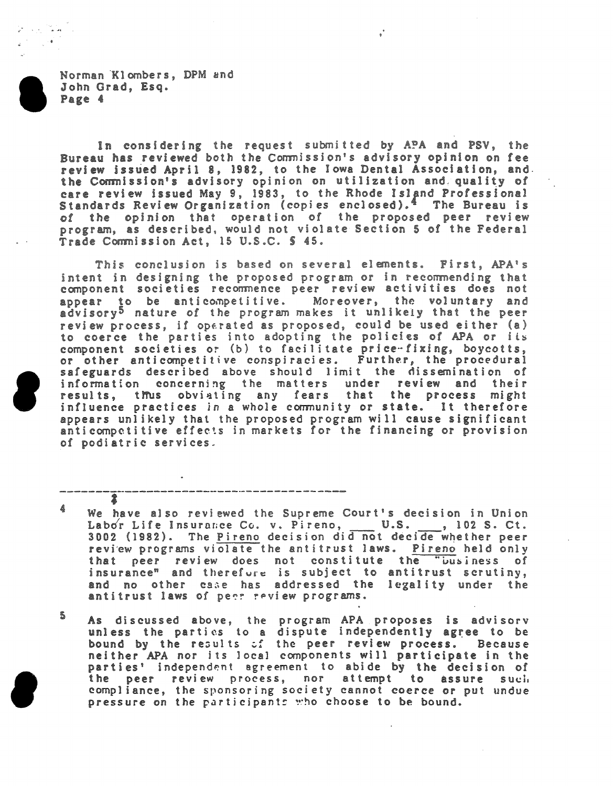$\mathcal{F} \propto \mathcal{F} \left( \mathbf{r} \right)$  $\mathcal{L}^{(1)} = \mathcal{L}^{(0)}$ 

> In considering the request submitted by APA and PSV, the Bureau has reviewed both the Commission's advisory opinion on fee review issued April 8, 1982, to the Iowa Dental Association, and. the Commission's advisory opinion on utilization and quality of care review issued May 9, 1983, to the Rhode Island Professional Standards Review Organization (copies enclosed).<sup>4</sup> The Bureau is of the opinion that operation of the proposed peer review program, as described, would not violate Section 5 of the Federal Trade Commission Act, 15 U.S.C. § 45.

> This conclusion is based on several elements. First, APA's intent in designing the proposed program or in recommending that<br>component societies recommence peer review activities does not appear to be anticompetitive. Moreover, the voluntary and advisory<sup>5</sup> nature of the program makes it unlikely that the peer review process, if oparated as proposed, could be used either (a) to coerce the parties into adopting the policies of APA or its component societies or (b) to facilitate price-fixing, boycotts, or other anticompetitive conspiracies. Further, the procedural safeguards described above should limit the dissemination of information concerning the matters under review and their results, thus obviating any fears that the process might influence practices in a whole community or state. It therefore appears unlikely that the proposed program will cause significant anticompetitive effects in markets for the financing or provision of podiatric services.

> 4 We have also reviewed the Supreme Court's decision in Union Labor Life Insurance Co. v. Pireno, \_\_\_ U.S. \_\_\_, 102 S. Ct. 3002 (1982). The Pireno decision did not decide whether peer review programs violate the antitrust laws. Pireno held only that peer review does not constitute the "business of insurance" and therefore is subject to antitrust scrutiny, and no other case has addressed the legality under the antitrust laws of peer review programs.

\$ As discussed above, the program APA proposes is advisorv unless the parties to a dispute independently agree to be bound by the results of the peer review process. Because<br>neither APA nor its local components will participate in the parties' independent agreement to abide by the decision of the peer review process, nor attempt to assure such compliance, the sponsoring society cannot coerce or put undue pressure on the participants who choose to be bound.